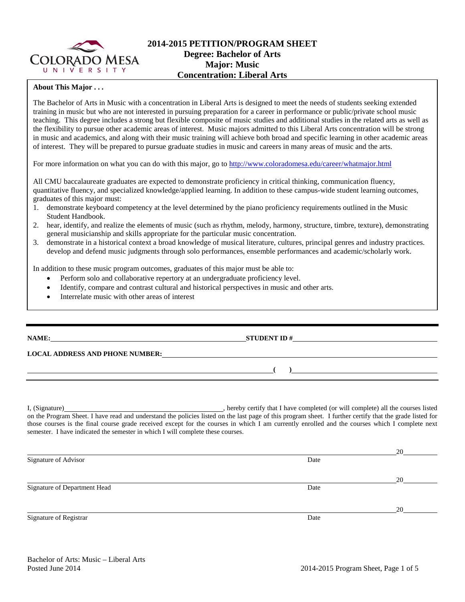

## **2014-2015 PETITION/PROGRAM SHEET Degree: Bachelor of Arts Major: Music Concentration: Liberal Arts**

## **About This Major . . .**

The Bachelor of Arts in Music with a concentration in Liberal Arts is designed to meet the needs of students seeking extended training in music but who are not interested in pursuing preparation for a career in performance or public/private school music teaching. This degree includes a strong but flexible composite of music studies and additional studies in the related arts as well as the flexibility to pursue other academic areas of interest. Music majors admitted to this Liberal Arts concentration will be strong in music and academics, and along with their music training will achieve both broad and specific learning in other academic areas of interest. They will be prepared to pursue graduate studies in music and careers in many areas of music and the arts.

For more information on what you can do with this major, go to<http://www.coloradomesa.edu/career/whatmajor.html>

All CMU baccalaureate graduates are expected to demonstrate proficiency in critical thinking, communication fluency, quantitative fluency, and specialized knowledge/applied learning. In addition to these campus-wide student learning outcomes, graduates of this major must:

- 1. demonstrate keyboard competency at the level determined by the piano proficiency requirements outlined in the Music Student Handbook.
- 2. hear, identify, and realize the elements of music (such as rhythm, melody, harmony, structure, timbre, texture), demonstrating general musicianship and skills appropriate for the particular music concentration.
- 3. demonstrate in a historical context a broad knowledge of musical literature, cultures, principal genres and industry practices. develop and defend music judgments through solo performances, ensemble performances and academic/scholarly work.

In addition to these music program outcomes, graduates of this major must be able to:

- Perform solo and collaborative repertory at an undergraduate proficiency level.
- Identify, compare and contrast cultural and historical perspectives in music and other arts.
- Interrelate music with other areas of interest

| NAME:                                  | <b>STUDENT ID#</b><br><u> 1989 - Johann Stein, Amerikaansk politiker (</u> |
|----------------------------------------|----------------------------------------------------------------------------|
| <b>LOCAL ADDRESS AND PHONE NUMBER:</b> |                                                                            |
|                                        |                                                                            |
|                                        |                                                                            |

I, (Signature) , hereby certify that I have completed (or will complete) all the courses listed on the Program Sheet. I have read and understand the policies listed on the last page of this program sheet. I further certify that the grade listed for those courses is the final course grade received except for the courses in which I am currently enrolled and the courses which I complete next semester. I have indicated the semester in which I will complete these courses.

|                              |      | 20 |
|------------------------------|------|----|
| Signature of Advisor         | Date |    |
|                              |      | 20 |
| Signature of Department Head | Date |    |
|                              |      | 20 |
| Signature of Registrar       | Date |    |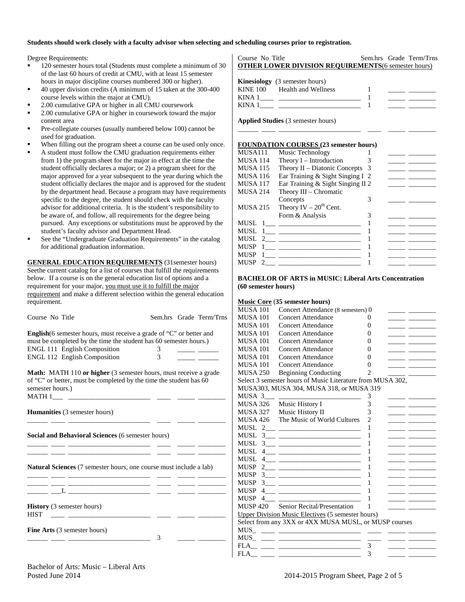#### **Students should work closely with a faculty advisor when selecting and scheduling courses prior to registration.**

Degree Requirements:

- 120 semester hours total (Students must complete a minimum of 30 of the last 60 hours of credit at CMU, with at least 15 semester hours in major discipline courses numbered 300 or higher).
- 40 upper division credits (A minimum of 15 taken at the 300-400 course levels within the major at CMU).
- 2.00 cumulative GPA or higher in all CMU coursework
- 2.00 cumulative GPA or higher in coursework toward the major content area
- Pre-collegiate courses (usually numbered below 100) cannot be used for graduation.
- When filling out the program sheet a course can be used only once.
- A student must follow the CMU graduation requirements either from 1) the program sheet for the major in effect at the time the student officially declares a major; or 2) a program sheet for the major approved for a year subsequent to the year during which the student officially declares the major and is approved for the student by the department head. Because a program may have requirements specific to the degree, the student should check with the faculty advisor for additional criteria. It is the student's responsibility to be aware of, and follow, all requirements for the degree being pursued. Any exceptions or substitutions must be approved by the student's faculty advisor and Department Head.
- See the "Undergraduate Graduation Requirements" in the catalog for additional graduation information.

**GENERAL EDUCATION REQUIREMENTS** (31semester hours) Seethe current catalog for a list of courses that fulfill the requirements below. If a course is on the general education list of options and a requirement for your major, you must use it to fulfill the major requirement and make a different selection within the general education requirement.

| Course No Title                                                                                                                                                                                                                |        | Sem.hrs Grade Term/Trns |
|--------------------------------------------------------------------------------------------------------------------------------------------------------------------------------------------------------------------------------|--------|-------------------------|
| <b>English</b> (6 semester hours, must receive a grade of "C" or better and<br>must be completed by the time the student has 60 semester hours.)<br><b>ENGL 111 English Composition</b><br><b>ENGL 112 English Composition</b> | 3<br>3 |                         |
| <b>Math:</b> MATH 110 or higher (3 semester hours, must receive a grade<br>of "C" or better, must be completed by the time the student has 60<br>semester hours.)<br>MATH 1                                                    |        |                         |
| <b>Humanities</b> (3 semester hours)                                                                                                                                                                                           |        |                         |
| <b>Social and Behavioral Sciences</b> (6 semester hours)                                                                                                                                                                       |        |                         |

\_\_\_\_\_\_ \_\_\_\_ \_\_\_\_\_\_\_\_\_\_\_\_\_\_\_\_\_\_\_\_\_\_\_\_ \_\_\_\_ \_\_\_\_\_ \_\_\_\_\_\_\_\_ \_\_\_\_\_\_ \_\_\_\_ \_\_\_\_\_\_\_\_\_\_\_\_\_\_\_\_\_\_\_\_\_\_\_\_ \_\_\_\_ \_\_\_\_\_ \_\_\_\_\_\_\_\_

**Natural Sciences** (7 semester hours, one course must include a lab)

| <b>History</b> (3 semester hours)<br><b>HIST</b> |  |  |
|--------------------------------------------------|--|--|
| <b>Fine Arts</b> (3 semester hours)              |  |  |

#### Course No Title Sem.hrs Grade Term/Trns **OTHER LOWER DIVISION REQUIREMENTS**(6 semester hours)

|             | <b>Kinesiology</b> (3 semester hours) |  |
|-------------|---------------------------------------|--|
|             | KINE 100 Health and Wellness          |  |
| KINA 1      |                                       |  |
| <b>KINA</b> |                                       |  |

\_\_\_\_\_\_ \_\_\_\_ \_\_\_\_\_\_\_\_\_\_\_\_\_\_\_\_\_\_\_\_\_\_\_\_ \_\_\_\_ \_\_\_\_\_ \_\_\_\_\_\_\_\_

**Applied Studies** (3 semester hours)

#### **FOUNDATION COURSES (23 semester hours)**

| MUSA111         | Music Technology                  |   |  |
|-----------------|-----------------------------------|---|--|
| <b>MUSA 114</b> | Theory $I$ – Introduction         |   |  |
| <b>MUSA 115</b> | Theory II – Diatonic Concepts $3$ |   |  |
| <b>MUSA 116</b> | Ear Training & Sight Singing I 2  |   |  |
| <b>MUSA 117</b> | Ear Training & Sight Singing II 2 |   |  |
| <b>MUSA 214</b> | Theory III – Chromatic            |   |  |
|                 | Concepts                          | 3 |  |
| <b>MUSA 215</b> | Theory IV $-20^{th}$ Cent.        |   |  |
|                 | Form & Analysis                   |   |  |
| MUSL            |                                   |   |  |
|                 | MUSL $1_{\_\_\_\_\_$              |   |  |
|                 | MUSL $2 \_$                       |   |  |
| <b>MUSP</b>     |                                   |   |  |
| <b>MUSP</b>     |                                   |   |  |
| <b>MUSP</b>     | $\sim$ 2                          |   |  |
|                 |                                   |   |  |

#### **BACHELOR OF ARTS in MUSIC: Liberal Arts Concentration (60 semester hours)**

#### **Music Core** (**35 semester hours)**

| MUSA 101         | Concert Attendance (8 semesters) 0                                                                                                                                                                                                                                                                                  |                                                                                                                                                                                                                                                                                                                                                                                                             |  |
|------------------|---------------------------------------------------------------------------------------------------------------------------------------------------------------------------------------------------------------------------------------------------------------------------------------------------------------------|-------------------------------------------------------------------------------------------------------------------------------------------------------------------------------------------------------------------------------------------------------------------------------------------------------------------------------------------------------------------------------------------------------------|--|
| <b>MUSA 101</b>  | <b>Concert Attendance</b>                                                                                                                                                                                                                                                                                           | 0                                                                                                                                                                                                                                                                                                                                                                                                           |  |
| <b>MUSA 101</b>  | Concert Attendance                                                                                                                                                                                                                                                                                                  | 0                                                                                                                                                                                                                                                                                                                                                                                                           |  |
| <b>MUSA 101</b>  | Concert Attendance                                                                                                                                                                                                                                                                                                  | 0                                                                                                                                                                                                                                                                                                                                                                                                           |  |
| <b>MUSA 101</b>  | Concert Attendance                                                                                                                                                                                                                                                                                                  | $\theta$                                                                                                                                                                                                                                                                                                                                                                                                    |  |
| <b>MUSA 101</b>  | Concert Attendance                                                                                                                                                                                                                                                                                                  | 0                                                                                                                                                                                                                                                                                                                                                                                                           |  |
| <b>MUSA 101</b>  | Concert Attendance                                                                                                                                                                                                                                                                                                  | $\theta$                                                                                                                                                                                                                                                                                                                                                                                                    |  |
| <b>MUSA 101</b>  | Concert Attendance                                                                                                                                                                                                                                                                                                  | 0                                                                                                                                                                                                                                                                                                                                                                                                           |  |
| <b>MUSA 250</b>  | <b>Beginning Conducting</b>                                                                                                                                                                                                                                                                                         | $\mathfrak{D}_{1}^{(1)} = \mathfrak{D}_{2}^{(1)} = \mathfrak{D}_{2}^{(1)} = \mathfrak{D}_{2}^{(1)} = \mathfrak{D}_{2}^{(1)} = \mathfrak{D}_{2}^{(1)} = \mathfrak{D}_{2}^{(1)} = \mathfrak{D}_{2}^{(1)} = \mathfrak{D}_{2}^{(1)} = \mathfrak{D}_{2}^{(1)} = \mathfrak{D}_{2}^{(1)} = \mathfrak{D}_{2}^{(1)} = \mathfrak{D}_{2}^{(1)} = \mathfrak{D}_{2}^{(1)} = \mathfrak{D}_{2}^{(1)} = \mathfrak{D}_{2}^{$ |  |
|                  | Select 3 semester hours of Music Literature from MUSA 302,                                                                                                                                                                                                                                                          |                                                                                                                                                                                                                                                                                                                                                                                                             |  |
|                  | MUSA303, MUSA 304, MUSA 318, or MUSA 319                                                                                                                                                                                                                                                                            |                                                                                                                                                                                                                                                                                                                                                                                                             |  |
| MUSA 3           |                                                                                                                                                                                                                                                                                                                     | 3                                                                                                                                                                                                                                                                                                                                                                                                           |  |
|                  | MUSA 326 Music History I                                                                                                                                                                                                                                                                                            | 3                                                                                                                                                                                                                                                                                                                                                                                                           |  |
|                  | MUSA 327 Music History II                                                                                                                                                                                                                                                                                           | 3                                                                                                                                                                                                                                                                                                                                                                                                           |  |
|                  | MUSA 426 The Music of World Cultures                                                                                                                                                                                                                                                                                | $\overline{2}$                                                                                                                                                                                                                                                                                                                                                                                              |  |
| MUSL             |                                                                                                                                                                                                                                                                                                                     | 1                                                                                                                                                                                                                                                                                                                                                                                                           |  |
| MUSL –           | $3 \qquad \qquad$                                                                                                                                                                                                                                                                                                   | 1                                                                                                                                                                                                                                                                                                                                                                                                           |  |
| <b>MUSL</b>      |                                                                                                                                                                                                                                                                                                                     | 1                                                                                                                                                                                                                                                                                                                                                                                                           |  |
| MUSL             | $4$ <u>_______________________________</u>                                                                                                                                                                                                                                                                          | 1                                                                                                                                                                                                                                                                                                                                                                                                           |  |
| MUSL –<br>4      |                                                                                                                                                                                                                                                                                                                     | 1                                                                                                                                                                                                                                                                                                                                                                                                           |  |
| <b>MUSP</b><br>2 | <u> 1950 - Johann Stein, mars et al. (b. 1950)</u>                                                                                                                                                                                                                                                                  | 1                                                                                                                                                                                                                                                                                                                                                                                                           |  |
| <b>MUSP</b>      |                                                                                                                                                                                                                                                                                                                     | 1                                                                                                                                                                                                                                                                                                                                                                                                           |  |
| <b>MUSP</b>      | $\frac{3}{2}$ $\frac{1}{2}$ $\frac{1}{2}$ $\frac{1}{2}$ $\frac{1}{2}$ $\frac{1}{2}$ $\frac{1}{2}$ $\frac{1}{2}$ $\frac{1}{2}$ $\frac{1}{2}$ $\frac{1}{2}$ $\frac{1}{2}$ $\frac{1}{2}$ $\frac{1}{2}$ $\frac{1}{2}$ $\frac{1}{2}$ $\frac{1}{2}$ $\frac{1}{2}$ $\frac{1}{2}$ $\frac{1}{2}$ $\frac{1}{2}$ $\frac{1}{2}$ | 1                                                                                                                                                                                                                                                                                                                                                                                                           |  |
| <b>MUSP</b><br>4 | <u>and the state of the state of the state of the state of the state of the state of the state of the state of the state of the state of the state of the state of the state of the state of the state of the state of the state</u>                                                                                | 1                                                                                                                                                                                                                                                                                                                                                                                                           |  |
| <b>MUSP</b><br>4 |                                                                                                                                                                                                                                                                                                                     | 1                                                                                                                                                                                                                                                                                                                                                                                                           |  |
|                  | MUSP 420 Senior Recital/Presentation                                                                                                                                                                                                                                                                                | 1                                                                                                                                                                                                                                                                                                                                                                                                           |  |
|                  | <b>Upper Division Music Electives (5 semester hours)</b>                                                                                                                                                                                                                                                            |                                                                                                                                                                                                                                                                                                                                                                                                             |  |
|                  | Select from any 3XX or 4XX MUSA MUSL, or MUSP courses                                                                                                                                                                                                                                                               |                                                                                                                                                                                                                                                                                                                                                                                                             |  |
|                  |                                                                                                                                                                                                                                                                                                                     |                                                                                                                                                                                                                                                                                                                                                                                                             |  |
|                  |                                                                                                                                                                                                                                                                                                                     |                                                                                                                                                                                                                                                                                                                                                                                                             |  |
|                  |                                                                                                                                                                                                                                                                                                                     | 3                                                                                                                                                                                                                                                                                                                                                                                                           |  |
| <b>FLA</b>       |                                                                                                                                                                                                                                                                                                                     | 3                                                                                                                                                                                                                                                                                                                                                                                                           |  |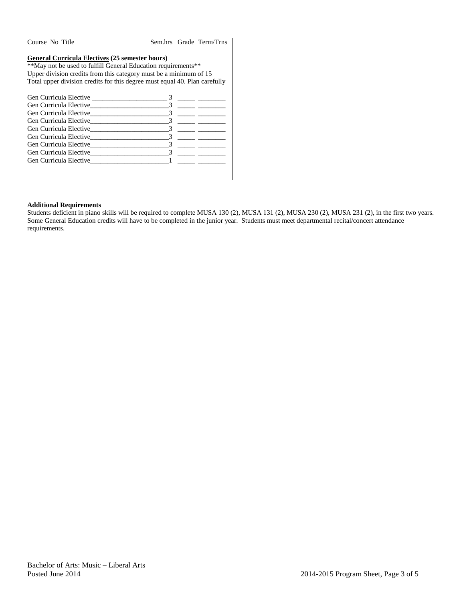Course No Title Sem.hrs Grade Term/Trns

## **General Curricula Electives (25 semester hours)**

\*\*May not be used to fulfill General Education requirements\*\* Upper division credits from this category must be a minimum of 15 Total upper division credits for this degree must equal 40. Plan carefully

|                                                                                                                                                                                                                                    | $3 \sim 3$                        |
|------------------------------------------------------------------------------------------------------------------------------------------------------------------------------------------------------------------------------------|-----------------------------------|
|                                                                                                                                                                                                                                    |                                   |
|                                                                                                                                                                                                                                    |                                   |
|                                                                                                                                                                                                                                    |                                   |
|                                                                                                                                                                                                                                    |                                   |
|                                                                                                                                                                                                                                    |                                   |
|                                                                                                                                                                                                                                    |                                   |
| Gen Curricula Elective 3                                                                                                                                                                                                           |                                   |
| <b>Gen Curricula Elective Constanting Constanting Constanting Constanting Constanting Constanting Constanting Constanting Constanting Constanting Constanting Constanting Constanting Constanting Constanting Constanting Cons</b> | the control of the control of the |
|                                                                                                                                                                                                                                    |                                   |

## **Additional Requirements**

Students deficient in piano skills will be required to complete MUSA 130 (2), MUSA 131 (2), MUSA 230 (2), MUSA 231 (2), in the first two years. Some General Education credits will have to be completed in the junior year. Students must meet departmental recital/concert attendance requirements.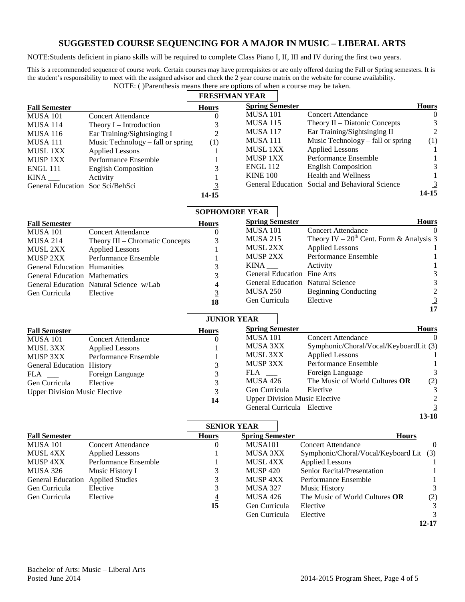# **SUGGESTED COURSE SEQUENCING FOR A MAJOR IN MUSIC – LIBERAL ARTS**

NOTE:Students deficient in piano skills will be required to complete Class Piano I, II, III and IV during the first two years.

This is a recommended sequence of course work. Certain courses may have prerequisites or are only offered during the Fall or Spring semesters. It is the student's responsibility to meet with the assigned advisor and check the 2 year course matrix on the website for course availability. NOTE: ( )Parenthesis means there are options of when a course may be taken.

|                                      |                                         | <b>FRESHMAN YEAR</b>  |                             |                                                                   |
|--------------------------------------|-----------------------------------------|-----------------------|-----------------------------|-------------------------------------------------------------------|
| <b>Fall Semester</b>                 |                                         | <b>Hours</b>          | <b>Spring Semester</b>      | <b>Hours</b>                                                      |
| <b>MUSA 101</b>                      | <b>Concert Attendance</b>               | $\theta$              | <b>MUSA 101</b>             | <b>Concert Attendance</b><br>$\left($                             |
| MUSA 114                             | Theory I – Introduction                 | 3                     | <b>MUSA 115</b>             | Theory II - Diatonic Concepts<br>3                                |
| MUSA 116                             | Ear Training/Sightsinging I             | $\overline{2}$        | <b>MUSA 117</b>             | $\overline{2}$<br>Ear Training/Sightsinging II                    |
| <b>MUSA 111</b>                      | Music Technology – fall or spring       | (1)                   | <b>MUSA 111</b>             | Music Technology – fall or spring<br>(1)                          |
| <b>MUSL 1XX</b>                      | <b>Applied Lessons</b>                  | 1                     | MUSL 1XX                    | <b>Applied Lessons</b><br>1                                       |
| <b>MUSP 1XX</b>                      | Performance Ensemble                    | 1                     | MUSP 1XX                    | Performance Ensemble<br>1                                         |
| <b>ENGL 111</b>                      | <b>English Composition</b>              | 3                     | <b>ENGL 112</b>             | 3<br><b>English Composition</b>                                   |
|                                      | Activity                                | 1                     | <b>KINE 100</b>             | <b>Health and Wellness</b><br>1                                   |
| General Education Soc Sci/BehSci     |                                         | $\overline{3}$        |                             | $\overline{3}$<br>General Education Social and Behavioral Science |
|                                      |                                         | 14-15                 |                             | $14 - 15$                                                         |
|                                      |                                         | <b>SOPHOMORE YEAR</b> |                             |                                                                   |
| <b>Fall Semester</b>                 |                                         | <b>Hours</b>          | <b>Spring Semester</b>      | <b>Hours</b>                                                      |
| <b>MUSA 101</b>                      | <b>Concert Attendance</b>               | $\Omega$              | <b>MUSA 101</b>             | <b>Concert Attendance</b><br>$\Omega$                             |
| <b>MUSA 214</b>                      | Theory III - Chromatic Concepts         | 3                     | <b>MUSA 215</b>             | Theory IV – $20^{th}$ Cent. Form & Analysis 3                     |
| <b>MUSL 2XX</b>                      | <b>Applied Lessons</b>                  |                       | MUSL 2XX                    | <b>Applied Lessons</b>                                            |
| <b>MUSP 2XX</b>                      | Performance Ensemble                    |                       | <b>MUSP 2XX</b>             | Performance Ensemble<br>1                                         |
| <b>General Education Humanities</b>  |                                         | 3                     | KINA                        | Activity<br>1                                                     |
| General Education Mathematics        |                                         | 3                     | General Education Fine Arts | 3                                                                 |
|                                      | General Education Natural Science w/Lab | 4                     |                             | 3<br><b>General Education Natural Science</b>                     |
| Gen Curricula                        | Elective                                | $\overline{3}$        | <b>MUSA 250</b>             | $\overline{c}$<br><b>Beginning Conducting</b>                     |
|                                      |                                         | 18                    | Gen Curricula               | $\frac{3}{17}$<br>Elective                                        |
|                                      |                                         | <b>JUNIOR YEAR</b>    |                             |                                                                   |
| <b>Fall Semester</b>                 |                                         | <b>Hours</b>          | <b>Spring Semester</b>      | <b>Hours</b>                                                      |
| <b>MUSA 101</b>                      | <b>Concert Attendance</b>               | 0                     | <b>MUSA 101</b>             | <b>Concert Attendance</b><br>$\Omega$                             |
| MUSL 3XX                             | <b>Applied Lessons</b>                  | 1                     | MUSA 3XX                    | Symphonic/Choral/Vocal/KeyboardLit (3)                            |
| MUSP 3XX                             | Performance Ensemble                    | 1                     | MUSL 3XX                    | <b>Applied Lessons</b><br>1                                       |
| General Education History            |                                         | 3                     | MUSP 3XX                    | Performance Ensemble<br>1                                         |
| <b>FLA</b>                           | Foreign Language                        | 3                     | $FLA$ <sub>___</sub>        | 3<br>Foreign Language                                             |
| Gen Curricula                        | Elective                                | 3                     | MUSA 426                    | The Music of World Cultures OR<br>(2)                             |
| <b>Upper Division Music Elective</b> |                                         | $\overline{3}$        | Gen Curricula               | $\mathfrak{Z}$<br>Elective                                        |
|                                      |                                         | 14                    |                             | $\overline{c}$<br><b>Upper Division Music Elective</b>            |
|                                      |                                         |                       | General Curricula Elective  | $\overline{3}$<br>$13 - 18$                                       |
|                                      |                                         | <b>SENIOR YEAR</b>    |                             |                                                                   |
| <b>Fall Semester</b>                 |                                         | <b>Hours</b>          | <b>Spring Semester</b>      | <b>Hours</b>                                                      |
| <b>MUSA 101</b>                      | <b>Concert Attendance</b>               | $\Omega$              | MUSA101                     | <b>Concert Attendance</b><br>$\theta$                             |
| MUSL 4XX                             | <b>Applied Lessons</b>                  |                       | MUSA 3XX                    | Symphonic/Choral/Vocal/Keyboard Lit<br>(3)                        |
| MUSP 4XX                             | Performance Ensemble                    | 1                     | MUSL 4XX                    | <b>Applied Lessons</b>                                            |
| <b>MUSA 326</b>                      | Music History I                         | 3                     | <b>MUSP 420</b>             | Senior Recital/Presentation<br>1                                  |
| General Education Applied Studies    |                                         | 3                     | MUSP 4XX                    | Performance Ensemble<br>1                                         |
| Gen Curricula                        | Elective                                | 3                     | MUSA 327                    | <b>Music History</b><br>3                                         |
| Gen Curricula                        | Elective                                | $\overline{4}$        | MUSA 426                    | The Music of World Cultures OR<br>(2)                             |
|                                      |                                         | 15                    | Gen Curricula               | Elective<br>3                                                     |
|                                      |                                         |                       | Gen Curricula               | Elective<br>3                                                     |
|                                      |                                         |                       |                             | $12 - 17$                                                         |